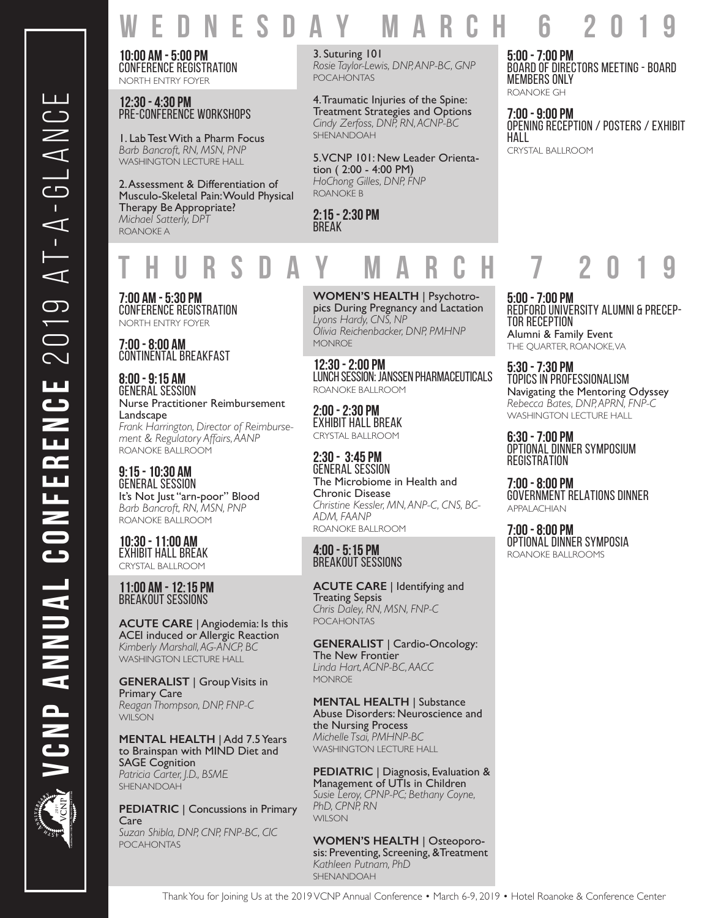**EDNESDAY MARCH 6** 

**10:00 AM - 5:00 PM** Conference Registration NORTH ENTRY FOYER

**12:30 - 4:30 PM** Pre-Conference Workshops

1. Lab Test With a Pharm Focus *Barb Bancroft, RN, MSN, PNP* WASHINGTON LECTURE HALL

2. Assessment & Differentiation of Musculo-Skeletal Pain: Would Physical Therapy Be Appropriate? *Michael Satterly, DPT* ROANOKE A

3. Suturing 101 *Rosie Taylor-Lewis, DNP, ANP-BC, GNP* POCAHONTAS

4. Traumatic Injuries of the Spine: Treatment Strategies and Options *Cindy Zerfoss, DNP, RN, ACNP-BC* SHENANDOAH

5. VCNP 101: New Leader Orienta- tion ( 2:00 - 4:00 PM) *HoChong Gilles, DNP, FNP* ROANOKE B

**2:15 - 2:30 PM** BREAK

**5:00 - 7:00 PM** Board of Directors Meeting - BOARD MEMBERS ONLY ROANOKE GH

**7:00 - 9:00 PM** Opening Reception / POSTERS / EXHIBIT HALL

CRYSTAL BALLROOM

# **THURSDAY MARCH 7 2019**

**7:00 AM - 5:30 PM** Conference Registration NORTH ENTRY FOYER

**7:00 - 8:00 AM** CONTINENTAL BREAKFAST

**8:00 - 9:15 AM** GENERAL SESSION Nurse Practitioner Reimbursement Landscape *Frank Harrington, Director of Reimbursement & Regulatory Affairs, AANP* ROANOKE BALLROOM

**9:15 - 10:30 AM** GENERAL SESSION It's Not Just "arn-poor" Blood *Barb Bancroft, RN, MSN, PNP* ROANOKE BALLROOM

**10:30 - 11:00 AM** EXHIBIT HALL BREAK CRYSTAL BALLROOM

### **11:00 AM - 12:15 PM** BREAKOUT SESSIONS

**ACUTE CARE** | Angiodemia: Is this ACEI induced or Allergic Reaction *Kimberly Marshall, AG-ANCP, BC* WASHINGTON LECTURE HALL

**GENERALIST** | Group Visits in Primary Care *Reagan Thompson, DNP, FNP-C* WII SON

**MENTAL HEALTH** | Add 7.5 Years to Brainspan with MIND Diet and SAGE Cognition *Patricia Carter, J.D., BSME* SHENANDOAH<sup>T</sup>

**PEDIATRIC** | Concussions in Primary Care *Suzan Shibla, DNP, CNP, FNP-BC, CIC* POCAHONTAS

**WOMEN'S HEALTH** | Psychotropics During Pregnancy and Lactation *Lyons Hardy, CNS, NP Olivia Reichenbacker, DNP, PMHNP* **MONROE** 

**12:30 - 2:00 PM** LUNCH SESSION: JANSSEN PHARMACEUTICALS ROANOKE BALLROOM

**2:00 - 2:30 PM** EXHIBIT HALL BREAK CRYSTAL BALLROOM

**2:30 - 3:45 PM** GENERAL SESSION The Microbiome in Health and Chronic Disease *Christine Kessler, MN, ANP-C, CNS, BC-ADM, FAANP* ROANOKE BALLROOM

### **4:00 - 5:15 PM** BREAKOUT SESSIONS

**ACUTE CARE** | Identifying and Treating Sepsis *Chris Daley, RN, MSN, FNP-C* **POCAHONTAS** 

**GENERALIST** | Cardio-Oncology: The New Frontier *Linda Hart, ACNP-BC, AACC* MONROE

**MENTAL HEALTH** | Substance Abuse Disorders: Neuroscience and the Nursing Process *Michelle Tsai, PMHNP-BC* WASHINGTON LECTURE HALL

**PEDIATRIC** | Diagnosis, Evaluation & Management of UTIs in Children *Susie Leroy, CPNP-PC; Bethany Coyne, PhD, CPNP, RN* WII SON

**WOMEN'S HEALTH** | Osteoporosis: Preventing, Screening, &Treatment *Kathleen Putnam, PhD* SHENANDOAH

**5:00 - 7:00 PM** REDFORD UNIVERSITY ALUMNI & PRECEP- TOR RECEPTION

Alumni & Family Event THE QUARTER, ROANOKE, VA

**5:30 - 7:30 PM** TOPICS IN PROFESSIONALISM Navigating the Mentoring Odyssey *Rebecca Bates, DNP, APRN, FNP-C* WASHINGTON LECTURE HALL

**6:30 - 7:00 PM** OPTIONAL DINNER SYMPOSIUM **REGISTRATION** 

**7:00 - 8:00 PM** GOVERNMENT RELATIONS DINNER APPALACHIAN

**7:00 - 8:00 PM** OPTIONAL DINNER SYMPOSIA ROANOKE BALLROOMS

Thank You for Joining Us at the 2019 VCNP Annual Conference • March 6-9, 2019 • Hotel Roanoke & Conference Center